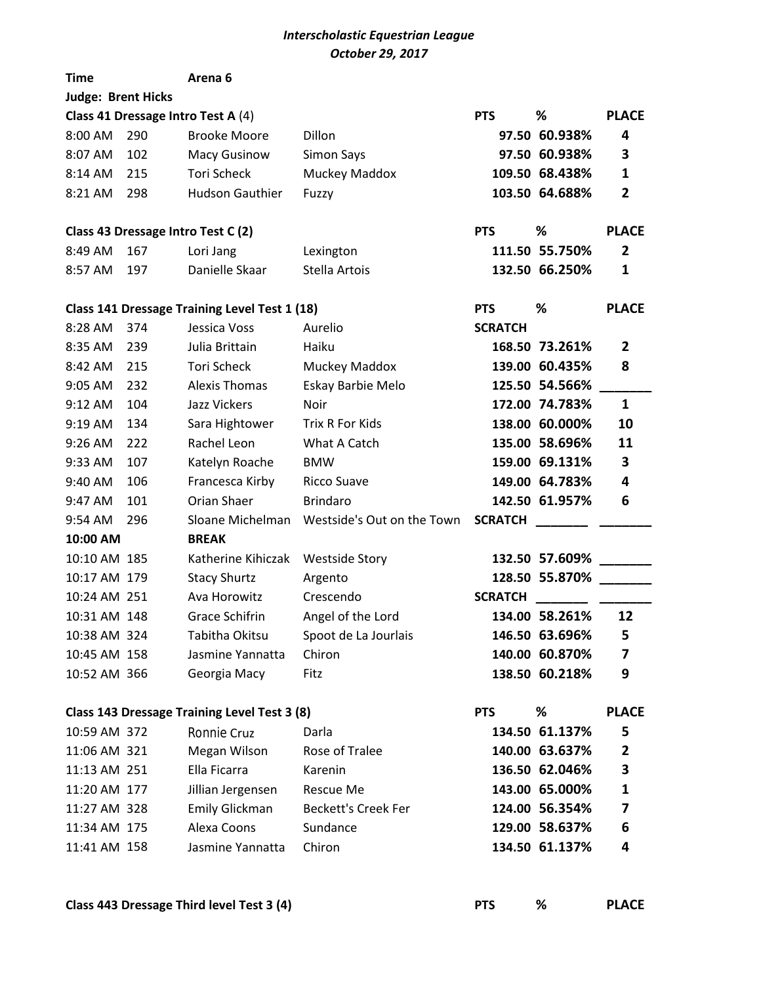## *Interscholastic Equestrian League October 29, 2017*

| <b>Time</b>                                                     |     | Arena <sub>6</sub>                            |                            |                |                |                         |  |  |  |  |  |
|-----------------------------------------------------------------|-----|-----------------------------------------------|----------------------------|----------------|----------------|-------------------------|--|--|--|--|--|
| <b>Judge: Brent Hicks</b>                                       |     |                                               |                            |                |                |                         |  |  |  |  |  |
|                                                                 |     | Class 41 Dressage Intro Test A (4)            |                            | <b>PTS</b>     | ℅              | <b>PLACE</b>            |  |  |  |  |  |
| 8:00 AM                                                         | 290 | <b>Brooke Moore</b>                           | Dillon                     |                | 97.50 60.938%  | 4                       |  |  |  |  |  |
| 8:07 AM                                                         | 102 | <b>Macy Gusinow</b>                           | Simon Says                 |                | 97.50 60.938%  | 3                       |  |  |  |  |  |
| 8:14 AM                                                         | 215 | Tori Scheck                                   | Muckey Maddox              |                | 109.50 68.438% | 1                       |  |  |  |  |  |
| 8:21 AM                                                         | 298 | <b>Hudson Gauthier</b>                        | Fuzzy                      |                | 103.50 64.688% | $\mathbf{2}$            |  |  |  |  |  |
| Class 43 Dressage Intro Test C (2)                              |     |                                               |                            |                | ℅              | <b>PLACE</b>            |  |  |  |  |  |
| 8:49 AM                                                         | 167 | Lori Jang                                     | Lexington                  |                | 111.50 55.750% | 2                       |  |  |  |  |  |
| 8:57 AM                                                         | 197 | Danielle Skaar                                | Stella Artois              |                | 132.50 66.250% | 1                       |  |  |  |  |  |
|                                                                 |     |                                               |                            |                |                |                         |  |  |  |  |  |
|                                                                 |     | Class 141 Dressage Training Level Test 1 (18) |                            | <b>PTS</b>     | %              | <b>PLACE</b>            |  |  |  |  |  |
| 8:28 AM                                                         | 374 | Jessica Voss                                  | Aurelio                    | <b>SCRATCH</b> |                |                         |  |  |  |  |  |
| 8:35 AM                                                         | 239 | Julia Brittain                                | Haiku                      |                | 168.50 73.261% | 2                       |  |  |  |  |  |
| 8:42 AM                                                         | 215 | <b>Tori Scheck</b>                            | Muckey Maddox              |                | 139.00 60.435% | 8                       |  |  |  |  |  |
| 9:05 AM                                                         | 232 | <b>Alexis Thomas</b>                          | Eskay Barbie Melo          |                | 125.50 54.566% |                         |  |  |  |  |  |
| 9:12 AM                                                         | 104 | <b>Jazz Vickers</b>                           | Noir                       |                | 172.00 74.783% | $\mathbf{1}$            |  |  |  |  |  |
| 9:19 AM                                                         | 134 | Sara Hightower                                | <b>Trix R For Kids</b>     |                | 138.00 60.000% | 10                      |  |  |  |  |  |
| 9:26 AM                                                         | 222 | Rachel Leon                                   | What A Catch               |                | 135.00 58.696% | 11                      |  |  |  |  |  |
| 9:33 AM                                                         | 107 | Katelyn Roache                                | <b>BMW</b>                 |                | 159.00 69.131% | 3                       |  |  |  |  |  |
| 9:40 AM                                                         | 106 | Francesca Kirby                               | <b>Ricco Suave</b>         |                | 149.00 64.783% | 4                       |  |  |  |  |  |
| 9:47 AM                                                         | 101 | Orian Shaer                                   | <b>Brindaro</b>            |                | 142.50 61.957% | 6                       |  |  |  |  |  |
| 9:54 AM                                                         | 296 | Sloane Michelman                              | Westside's Out on the Town | <b>SCRATCH</b> |                |                         |  |  |  |  |  |
| 10:00 AM                                                        |     | <b>BREAK</b>                                  |                            |                |                |                         |  |  |  |  |  |
| 10:10 AM 185                                                    |     | Katherine Kihiczak                            | <b>Westside Story</b>      |                | 132.50 57.609% |                         |  |  |  |  |  |
| 10:17 AM 179                                                    |     | <b>Stacy Shurtz</b>                           | Argento                    |                | 128.50 55.870% |                         |  |  |  |  |  |
| 10:24 AM 251                                                    |     | Ava Horowitz                                  | Crescendo                  | <b>SCRATCH</b> |                |                         |  |  |  |  |  |
| 10:31 AM 148                                                    |     | <b>Grace Schifrin</b>                         | Angel of the Lord          |                | 134.00 58.261% | 12                      |  |  |  |  |  |
| 10:38 AM 324                                                    |     | Tabitha Okitsu                                | Spoot de La Jourlais       |                | 146.50 63.696% | 5                       |  |  |  |  |  |
| 10:45 AM 158                                                    |     | Jasmine Yannatta                              | Chiron                     |                | 140.00 60.870% | 7                       |  |  |  |  |  |
| 10:52 AM 366                                                    |     | Georgia Macy                                  | Fitz                       |                | 138.50 60.218% | 9                       |  |  |  |  |  |
| %<br>Class 143 Dressage Training Level Test 3 (8)<br><b>PTS</b> |     |                                               |                            |                |                |                         |  |  |  |  |  |
| 10:59 AM 372                                                    |     | <b>Ronnie Cruz</b>                            | Darla                      |                | 134.50 61.137% | <b>PLACE</b><br>5       |  |  |  |  |  |
| 11:06 AM 321                                                    |     | Megan Wilson                                  | Rose of Tralee             |                | 140.00 63.637% | $\overline{\mathbf{2}}$ |  |  |  |  |  |
| 11:13 AM 251                                                    |     | Ella Ficarra                                  | Karenin                    |                | 136.50 62.046% | 3                       |  |  |  |  |  |
| 11:20 AM 177                                                    |     | Jillian Jergensen                             | <b>Rescue Me</b>           |                | 143.00 65.000% | 1                       |  |  |  |  |  |
| 11:27 AM 328                                                    |     | Emily Glickman                                | <b>Beckett's Creek Fer</b> |                | 124.00 56.354% | 7                       |  |  |  |  |  |
| 11:34 AM 175                                                    |     | Alexa Coons                                   | Sundance                   |                | 129.00 58.637% | 6                       |  |  |  |  |  |
| 11:41 AM 158                                                    |     | Jasmine Yannatta                              | Chiron                     |                | 134.50 61.137% | 4                       |  |  |  |  |  |
|                                                                 |     |                                               |                            |                |                |                         |  |  |  |  |  |